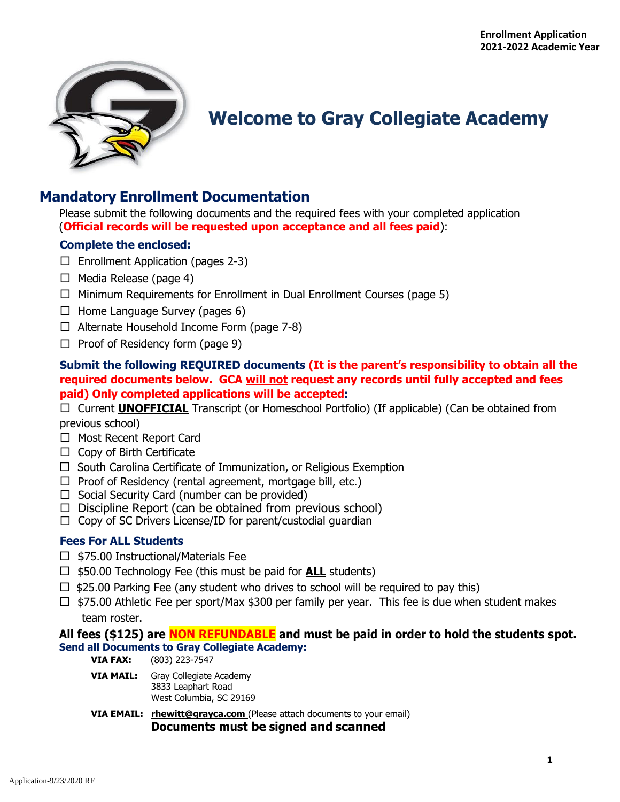

# **Welcome to Gray Collegiate Academy**

# **Mandatory Enrollment Documentation**

Please submit the following documents and the required fees with your completed application (**Official records will be requested upon acceptance and all fees paid**):

### **Complete the enclosed:**

- $\Box$  Enrollment Application (pages 2-3)
- $\Box$  Media Release (page 4)
- $\Box$  Minimum Requirements for Enrollment in Dual Enrollment Courses (page 5)
- $\Box$  Home Language Survey (pages 6)
- $\Box$  Alternate Household Income Form (page 7-8)
- $\Box$  Proof of Residency form (page 9)

## **Submit the following REQUIRED documents (It is the parent's responsibility to obtain all the required documents below. GCA will not request any records until fully accepted and fees paid) Only completed applications will be accepted:**

 Current **UNOFFICIAL** Transcript (or Homeschool Portfolio) (If applicable) (Can be obtained from previous school)

- □ Most Recent Report Card
- $\Box$  Copy of Birth Certificate
- $\Box$  South Carolina Certificate of Immunization, or Religious Exemption
- $\Box$  Proof of Residency (rental agreement, mortgage bill, etc.)
- $\Box$  Social Security Card (number can be provided)
- $\Box$  Discipline Report (can be obtained from previous school)
- $\Box$  Copy of SC Drivers License/ID for parent/custodial quardian

### **Fees For ALL Students**

- $\Box$  \$75.00 Instructional/Materials Fee
- \$50.00 Technology Fee (this must be paid for **ALL** students)
- $\Box$  \$25.00 Parking Fee (any student who drives to school will be required to pay this)
- $\Box$  \$75.00 Athletic Fee per sport/Max \$300 per family per year. This fee is due when student makes team roster.

### **All fees (\$125) are NON REFUNDABLE and must be paid in order to hold the students spot. Send all Documents to Gray Collegiate Academy:**

**VIA FAX:** (803) 223-7547

- **VIA MAIL:** Gray Collegiate Academy 3833 Leaphart Road West Columbia, SC 29169
- **VIA EMAIL:** rhewitt@grayca.com (Please attach documents to your email) **Documents must be signed and scanned**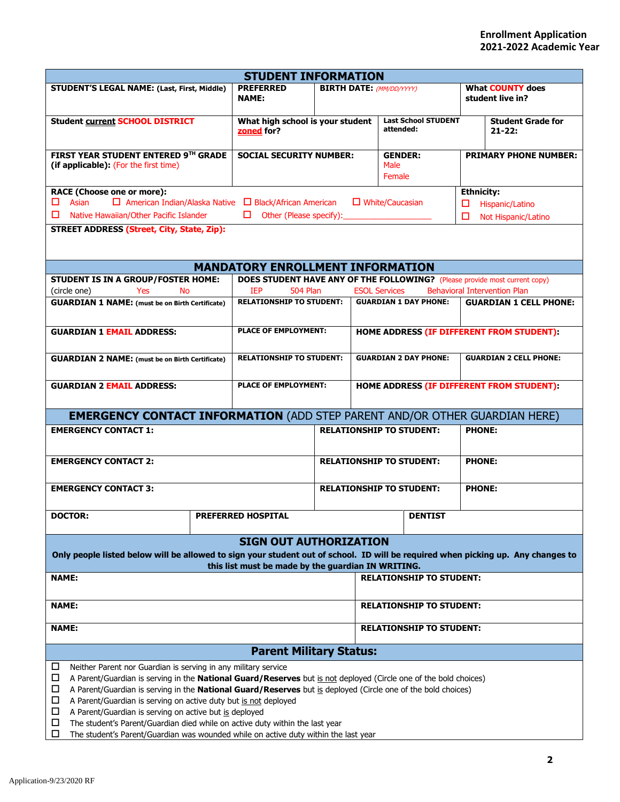| <b>STUDENT INFORMATION</b>                                                                                                                                                                                                                                                                                                                                                                                                                                                                                                                                                                  |                                 |                                                                                   |                                                  |                                 |                                           |                                           |                                             |  |
|---------------------------------------------------------------------------------------------------------------------------------------------------------------------------------------------------------------------------------------------------------------------------------------------------------------------------------------------------------------------------------------------------------------------------------------------------------------------------------------------------------------------------------------------------------------------------------------------|---------------------------------|-----------------------------------------------------------------------------------|--------------------------------------------------|---------------------------------|-------------------------------------------|-------------------------------------------|---------------------------------------------|--|
| <b>STUDENT'S LEGAL NAME: (Last, First, Middle)</b>                                                                                                                                                                                                                                                                                                                                                                                                                                                                                                                                          |                                 | <b>PREFERRED</b><br><b>NAME:</b>                                                  |                                                  | <b>BIRTH DATE:</b> (MM/DD/YYYY) |                                           |                                           | <b>What COUNTY does</b><br>student live in? |  |
| <b>Student current SCHOOL DISTRICT</b>                                                                                                                                                                                                                                                                                                                                                                                                                                                                                                                                                      |                                 | What high school is your student<br>zoned for?                                    |                                                  |                                 | <b>Last School STUDENT</b><br>attended:   |                                           | <b>Student Grade for</b><br>$21 - 22:$      |  |
| FIRST YEAR STUDENT ENTERED 9TH GRADE<br>(if applicable): (For the first time)                                                                                                                                                                                                                                                                                                                                                                                                                                                                                                               |                                 | <b>SOCIAL SECURITY NUMBER:</b>                                                    |                                                  |                                 | <b>GENDER:</b><br>Male<br>Female          | <b>PRIMARY PHONE NUMBER:</b>              |                                             |  |
| <b>RACE (Choose one or more):</b><br><b>Ethnicity:</b><br>$\Box$ American Indian/Alaska Native $\Box$ Black/African American<br>Asian<br>$\Box$ White/Caucasian<br>□<br>Hispanic/Latino<br>□.<br>Native Hawaiian/Other Pacific Islander<br>Other (Please specify):<br>□<br>Not Hispanic/Latino<br><b>STREET ADDRESS (Street, City, State, Zip):</b>                                                                                                                                                                                                                                         |                                 |                                                                                   |                                                  |                                 |                                           |                                           |                                             |  |
|                                                                                                                                                                                                                                                                                                                                                                                                                                                                                                                                                                                             |                                 | <b>MANDATORY ENROLLMENT INFORMATION</b>                                           |                                                  |                                 |                                           |                                           |                                             |  |
| STUDENT IS IN A GROUP/FOSTER HOME:                                                                                                                                                                                                                                                                                                                                                                                                                                                                                                                                                          |                                 | <b>DOES STUDENT HAVE ANY OF THE FOLLOWING?</b> (Please provide most current copy) |                                                  |                                 |                                           |                                           |                                             |  |
| (circle one)<br>Yes<br><b>No</b>                                                                                                                                                                                                                                                                                                                                                                                                                                                                                                                                                            |                                 | <b>IEP</b><br><b>504 Plan</b>                                                     |                                                  | <b>ESOL Services</b>            |                                           |                                           | <b>Behavioral Intervention Plan</b>         |  |
| <b>GUARDIAN 1 NAME:</b> (must be on Birth Certificate)                                                                                                                                                                                                                                                                                                                                                                                                                                                                                                                                      |                                 | <b>RELATIONSHIP TO STUDENT:</b>                                                   |                                                  |                                 | <b>GUARDIAN 1 DAY PHONE:</b>              |                                           | <b>GUARDIAN 1 CELL PHONE:</b>               |  |
| <b>GUARDIAN 1 EMAIL ADDRESS:</b>                                                                                                                                                                                                                                                                                                                                                                                                                                                                                                                                                            |                                 | <b>PLACE OF EMPLOYMENT:</b>                                                       |                                                  |                                 |                                           | HOME ADDRESS (IF DIFFERENT FROM STUDENT): |                                             |  |
| <b>GUARDIAN 2 NAME:</b> (must be on Birth Certificate)                                                                                                                                                                                                                                                                                                                                                                                                                                                                                                                                      | <b>RELATIONSHIP TO STUDENT:</b> |                                                                                   |                                                  |                                 | <b>GUARDIAN 2 DAY PHONE:</b>              | <b>GUARDIAN 2 CELL PHONE:</b>             |                                             |  |
| <b>GUARDIAN 2 EMAIL ADDRESS:</b>                                                                                                                                                                                                                                                                                                                                                                                                                                                                                                                                                            |                                 | <b>PLACE OF EMPLOYMENT:</b>                                                       |                                                  |                                 | HOME ADDRESS (IF DIFFERENT FROM STUDENT): |                                           |                                             |  |
| <b>EMERGENCY CONTACT INFORMATION (ADD STEP PARENT AND/OR OTHER GUARDIAN HERE)</b>                                                                                                                                                                                                                                                                                                                                                                                                                                                                                                           |                                 |                                                                                   |                                                  |                                 |                                           |                                           |                                             |  |
| <b>EMERGENCY CONTACT 1:</b>                                                                                                                                                                                                                                                                                                                                                                                                                                                                                                                                                                 |                                 |                                                                                   | <b>RELATIONSHIP TO STUDENT:</b><br>PHONE:        |                                 |                                           |                                           |                                             |  |
| <b>EMERGENCY CONTACT 2:</b>                                                                                                                                                                                                                                                                                                                                                                                                                                                                                                                                                                 |                                 |                                                                                   | <b>RELATIONSHIP TO STUDENT:</b><br><b>PHONE:</b> |                                 |                                           |                                           |                                             |  |
| <b>EMERGENCY CONTACT 3:</b>                                                                                                                                                                                                                                                                                                                                                                                                                                                                                                                                                                 |                                 |                                                                                   |                                                  |                                 | <b>RELATIONSHIP TO STUDENT:</b>           | <b>PHONE:</b>                             |                                             |  |
| <b>DOCTOR:</b>                                                                                                                                                                                                                                                                                                                                                                                                                                                                                                                                                                              |                                 | <b>PREFERRED HOSPITAL</b>                                                         |                                                  |                                 | <b>DENTIST</b>                            |                                           |                                             |  |
| Only people listed below will be allowed to sign your student out of school. ID will be required when picking up. Any changes to                                                                                                                                                                                                                                                                                                                                                                                                                                                            |                                 | <b>SIGN OUT AUTHORIZATION</b>                                                     |                                                  |                                 |                                           |                                           |                                             |  |
| <b>NAME:</b>                                                                                                                                                                                                                                                                                                                                                                                                                                                                                                                                                                                |                                 | this list must be made by the guardian IN WRITING.                                |                                                  |                                 | <b>RELATIONSHIP TO STUDENT:</b>           |                                           |                                             |  |
| <b>NAME:</b>                                                                                                                                                                                                                                                                                                                                                                                                                                                                                                                                                                                |                                 |                                                                                   |                                                  |                                 | <b>RELATIONSHIP TO STUDENT:</b>           |                                           |                                             |  |
| <b>NAME:</b><br><b>RELATIONSHIP TO STUDENT:</b>                                                                                                                                                                                                                                                                                                                                                                                                                                                                                                                                             |                                 |                                                                                   |                                                  |                                 |                                           |                                           |                                             |  |
|                                                                                                                                                                                                                                                                                                                                                                                                                                                                                                                                                                                             |                                 |                                                                                   |                                                  |                                 |                                           |                                           |                                             |  |
| <b>Parent Military Status:</b><br>□<br>Neither Parent nor Guardian is serving in any military service<br>□<br>A Parent/Guardian is serving in the <b>National Guard/Reserves</b> but is not deployed (Circle one of the bold choices)<br>A Parent/Guardian is serving in the National Guard/Reserves but is deployed (Circle one of the bold choices)<br>□<br>□<br>A Parent/Guardian is serving on active duty but is not deployed<br>□<br>A Parent/Guardian is serving on active but is deployed<br>$\Box$<br>The student's Parent/Guardian died while on active duty within the last year |                                 |                                                                                   |                                                  |                                 |                                           |                                           |                                             |  |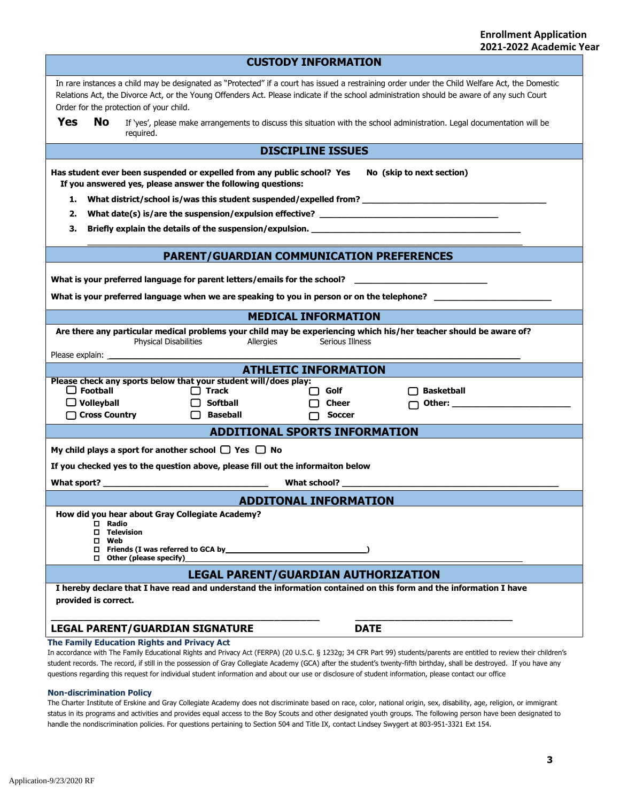|                                                                                                                                                                     | <b>CUSTODY INFORMATION</b>                                                                                                                                                                                                                                                                                                              |                                                                                 |                                                  |                                                                                                                |  |  |  |  |  |
|---------------------------------------------------------------------------------------------------------------------------------------------------------------------|-----------------------------------------------------------------------------------------------------------------------------------------------------------------------------------------------------------------------------------------------------------------------------------------------------------------------------------------|---------------------------------------------------------------------------------|--------------------------------------------------|----------------------------------------------------------------------------------------------------------------|--|--|--|--|--|
|                                                                                                                                                                     | In rare instances a child may be designated as "Protected" if a court has issued a restraining order under the Child Welfare Act, the Domestic<br>Relations Act, the Divorce Act, or the Young Offenders Act. Please indicate if the school administration should be aware of any such Court<br>Order for the protection of your child. |                                                                                 |                                                  |                                                                                                                |  |  |  |  |  |
| Yes                                                                                                                                                                 | <b>No</b><br>If 'yes', please make arrangements to discuss this situation with the school administration. Legal documentation will be<br>required.                                                                                                                                                                                      |                                                                                 |                                                  |                                                                                                                |  |  |  |  |  |
|                                                                                                                                                                     | <b>DISCIPLINE ISSUES</b>                                                                                                                                                                                                                                                                                                                |                                                                                 |                                                  |                                                                                                                |  |  |  |  |  |
| Has student ever been suspended or expelled from any public school? Yes<br>No (skip to next section)<br>If you answered yes, please answer the following questions: |                                                                                                                                                                                                                                                                                                                                         |                                                                                 |                                                  |                                                                                                                |  |  |  |  |  |
| 1.                                                                                                                                                                  | What district/school is/was this student suspended/expelled from? __________________________________                                                                                                                                                                                                                                    |                                                                                 |                                                  |                                                                                                                |  |  |  |  |  |
| 2.                                                                                                                                                                  |                                                                                                                                                                                                                                                                                                                                         |                                                                                 |                                                  |                                                                                                                |  |  |  |  |  |
| З.                                                                                                                                                                  |                                                                                                                                                                                                                                                                                                                                         |                                                                                 |                                                  |                                                                                                                |  |  |  |  |  |
|                                                                                                                                                                     |                                                                                                                                                                                                                                                                                                                                         |                                                                                 | <b>PARENT/GUARDIAN COMMUNICATION PREFERENCES</b> |                                                                                                                |  |  |  |  |  |
|                                                                                                                                                                     | What is your preferred language for parent letters/emails for the school?                                                                                                                                                                                                                                                               |                                                                                 |                                                  |                                                                                                                |  |  |  |  |  |
|                                                                                                                                                                     |                                                                                                                                                                                                                                                                                                                                         |                                                                                 |                                                  |                                                                                                                |  |  |  |  |  |
|                                                                                                                                                                     | <b>MEDICAL INFORMATION</b><br>Are there any particular medical problems your child may be experiencing which his/her teacher should be aware of?                                                                                                                                                                                        |                                                                                 |                                                  |                                                                                                                |  |  |  |  |  |
|                                                                                                                                                                     | <b>Physical Disabilities</b><br>Allergies<br>Serious Illness                                                                                                                                                                                                                                                                            |                                                                                 |                                                  |                                                                                                                |  |  |  |  |  |
|                                                                                                                                                                     |                                                                                                                                                                                                                                                                                                                                         |                                                                                 |                                                  |                                                                                                                |  |  |  |  |  |
|                                                                                                                                                                     | <b>ATHLETIC INFORMATION</b>                                                                                                                                                                                                                                                                                                             |                                                                                 |                                                  |                                                                                                                |  |  |  |  |  |
|                                                                                                                                                                     | $\Box$ Football                                                                                                                                                                                                                                                                                                                         | Please check any sports below that your student will/does play:<br>$\Box$ Track | $\Box$ Golf                                      | <b>Basketball</b>                                                                                              |  |  |  |  |  |
|                                                                                                                                                                     | $\Box$ Volleyball                                                                                                                                                                                                                                                                                                                       | $\Box$ Softball                                                                 | <b>Cheer</b>                                     | Other: and the contract of the contract of the contract of the contract of the contract of the contract of the |  |  |  |  |  |
|                                                                                                                                                                     | □ Cross Country                                                                                                                                                                                                                                                                                                                         | $\Box$ Baseball                                                                 | Soccer                                           |                                                                                                                |  |  |  |  |  |
|                                                                                                                                                                     |                                                                                                                                                                                                                                                                                                                                         |                                                                                 | <b>ADDITIONAL SPORTS INFORMATION</b>             |                                                                                                                |  |  |  |  |  |
|                                                                                                                                                                     |                                                                                                                                                                                                                                                                                                                                         | My child plays a sport for another school $\Box$ Yes $\Box$ No                  |                                                  |                                                                                                                |  |  |  |  |  |
|                                                                                                                                                                     |                                                                                                                                                                                                                                                                                                                                         | If you checked yes to the question above, please fill out the informaiton below |                                                  |                                                                                                                |  |  |  |  |  |
| What sport?                                                                                                                                                         |                                                                                                                                                                                                                                                                                                                                         |                                                                                 | What school? ______                              |                                                                                                                |  |  |  |  |  |
|                                                                                                                                                                     |                                                                                                                                                                                                                                                                                                                                         |                                                                                 | <b>ADDITONAL INFORMATION</b>                     |                                                                                                                |  |  |  |  |  |
|                                                                                                                                                                     | How did you hear about Gray Collegiate Academy?<br>$\Box$ Radio<br>$\square$ Television<br>$\square$ Web<br>$\Box$ Friends (I was referred to GCA by $\Box$<br>$\Box$ Other (please specify)                                                                                                                                            |                                                                                 |                                                  |                                                                                                                |  |  |  |  |  |
|                                                                                                                                                                     |                                                                                                                                                                                                                                                                                                                                         |                                                                                 | <b>LEGAL PARENT/GUARDIAN AUTHORIZATION</b>       |                                                                                                                |  |  |  |  |  |
| I hereby declare that I have read and understand the information contained on this form and the information I have<br>provided is correct.                          |                                                                                                                                                                                                                                                                                                                                         |                                                                                 |                                                  |                                                                                                                |  |  |  |  |  |
|                                                                                                                                                                     |                                                                                                                                                                                                                                                                                                                                         | <b>LEGAL PARENT/GUARDIAN SIGNATURE</b>                                          |                                                  | <b>DATE</b>                                                                                                    |  |  |  |  |  |
|                                                                                                                                                                     |                                                                                                                                                                                                                                                                                                                                         | The Family Education Rights and Privacy Act                                     |                                                  |                                                                                                                |  |  |  |  |  |

In accordance with The Family Educational Rights and Privacy Act (FERPA) (20 U.S.C. § 1232g; 34 CFR Part 99) students/parents are entitled to review their children's student records. The record, if still in the possession of Gray Collegiate Academy (GCA) after the student's twenty-fifth birthday, shall be destroyed. If you have any questions regarding this request for individual student information and about our use or disclosure of student information, please contact our office

#### **Non-discrimination Policy**

The Charter Institute of Erskine and Gray Collegiate Academy does not discriminate based on race, color, national origin, sex, disability, age, religion, or immigrant status in its programs and activities and provides equal access to the Boy Scouts and other designated youth groups. The following person have been designated to handle the nondiscrimination policies. For questions pertaining to Section 504 and Title IX, contact Lindsey Swygert at 803-951-3321 Ext 154.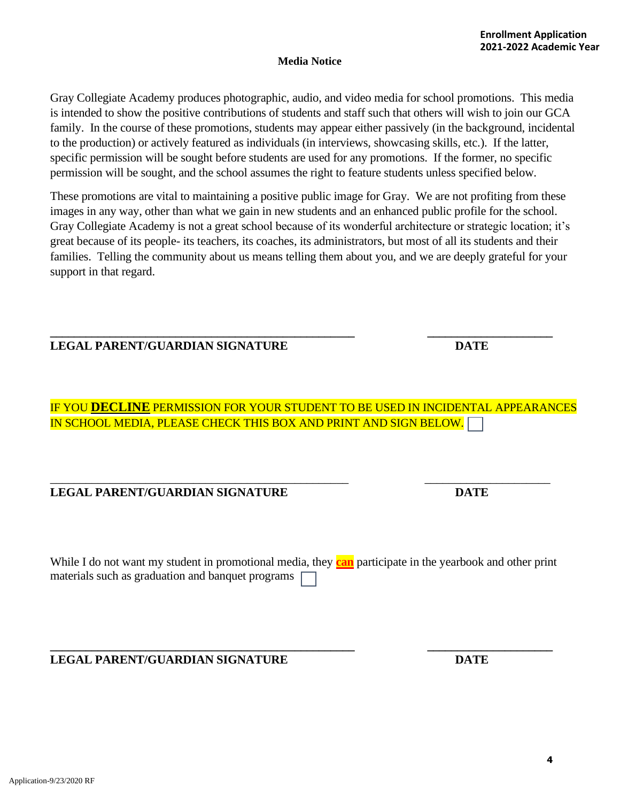Application-9/23/2020 RF

#### **Media Notice**

Gray Collegiate Academy produces photographic, audio, and video media for school promotions. This media is intended to show the positive contributions of students and staff such that others will wish to join our GCA family. In the course of these promotions, students may appear either passively (in the background, incidental to the production) or actively featured as individuals (in interviews, showcasing skills, etc.). If the latter, specific permission will be sought before students are used for any promotions. If the former, no specific permission will be sought, and the school assumes the right to feature students unless specified below.

These promotions are vital to maintaining a positive public image for Gray. We are not profiting from these images in any way, other than what we gain in new students and an enhanced public profile for the school. Gray Collegiate Academy is not a great school because of its wonderful architecture or strategic location; it's great because of its people- its teachers, its coaches, its administrators, but most of all its students and their families. Telling the community about us means telling them about you, and we are deeply grateful for your support in that regard.

#### **\_\_\_\_\_\_\_\_\_\_\_\_\_\_\_\_\_\_\_\_\_\_\_\_\_\_\_\_\_\_\_\_\_\_\_\_\_\_\_\_\_\_\_\_\_\_\_\_\_\_\_ \_\_\_\_\_\_\_\_\_\_\_\_\_\_\_\_\_\_\_\_\_ LEGAL PARENT/GUARDIAN SIGNATURE DATE**

IF YOU **DECLINE** PERMISSION FOR YOUR STUDENT TO BE USED IN INCIDENTAL APPEARANCES IN SCHOOL MEDIA, PLEASE CHECK THIS BOX AND PRINT AND SIGN BELOW.

# **LEGAL PARENT/GUARDIAN SIGNATURE DATE**

While I do not want my student in promotional media, they **can** participate in the yearbook and other print materials such as graduation and banquet programs

**\_\_\_\_\_\_\_\_\_\_\_\_\_\_\_\_\_\_\_\_\_\_\_\_\_\_\_\_\_\_\_\_\_\_\_\_\_\_\_\_\_\_\_\_\_\_\_\_\_\_\_ \_\_\_\_\_\_\_\_\_\_\_\_\_\_\_\_\_\_\_\_\_ LEGAL PARENT/GUARDIAN SIGNATURE DATE**

\_\_\_\_\_\_\_\_\_\_\_\_\_\_\_\_\_\_\_\_\_\_\_\_\_\_\_\_\_\_\_\_\_\_\_\_\_\_\_\_\_\_\_\_\_\_\_\_\_\_ \_\_\_\_\_\_\_\_\_\_\_\_\_\_\_\_\_\_\_\_\_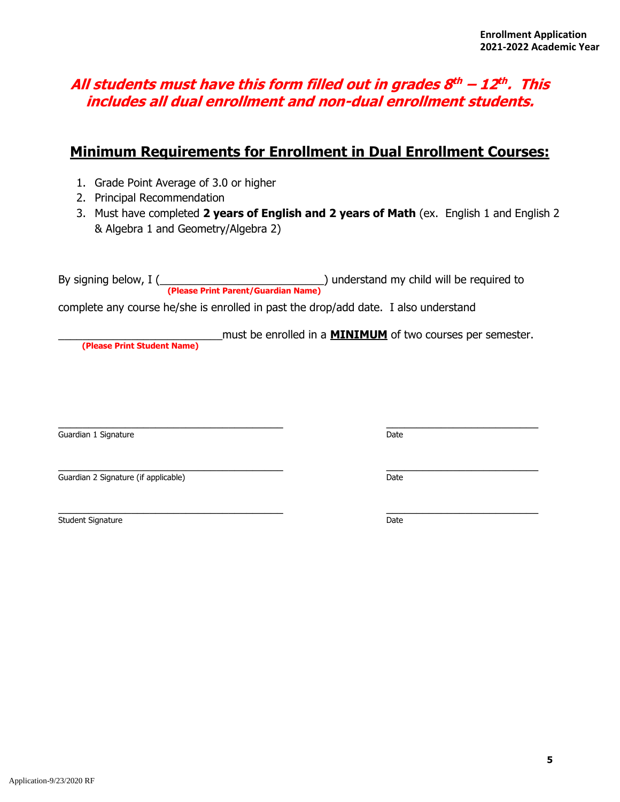# **All students must have this form filled out in grades 8 th – 12 th . This includes all dual enrollment and non-dual enrollment students.**

# **Minimum Requirements for Enrollment in Dual Enrollment Courses:**

- 1. Grade Point Average of 3.0 or higher
- 2. Principal Recommendation
- 3. Must have completed **2 years of English and 2 years of Math** (ex. English 1 and English 2 & Algebra 1 and Geometry/Algebra 2)

By signing below, I (\_\_\_\_\_\_\_\_\_\_\_\_\_\_\_\_\_\_\_\_\_\_\_\_\_\_\_\_\_\_\_\_\_\_) understand my child will be required to **(Please Print Parent/Guardian Name)**

complete any course he/she is enrolled in past the drop/add date. I also understand

\_\_\_\_\_\_\_\_\_\_\_\_\_\_\_\_\_\_\_\_\_\_\_\_\_\_\_must be enrolled in a **MINIMUM** of two courses per semester.

 **(Please Print Student Name)**

 $\_$  , and the set of the set of the set of the set of the set of the set of the set of the set of the set of the set of the set of the set of the set of the set of the set of the set of the set of the set of the set of th Guardian 1 Signature Date

\_\_\_\_\_\_\_\_\_\_\_\_\_\_\_\_\_\_\_\_\_\_\_\_\_\_\_\_\_\_\_\_\_\_\_\_\_ \_\_\_\_\_\_\_\_\_\_\_\_\_\_\_\_\_\_\_\_\_\_\_\_\_ Guardian 2 Signature (if applicable) **Date** 

 $\_$  , and the set of the set of the set of the set of the set of the set of the set of the set of the set of the set of the set of the set of the set of the set of the set of the set of the set of the set of the set of th Student Signature Date and Student Signature Date and Student Signature Date and Date Date and Date Date and D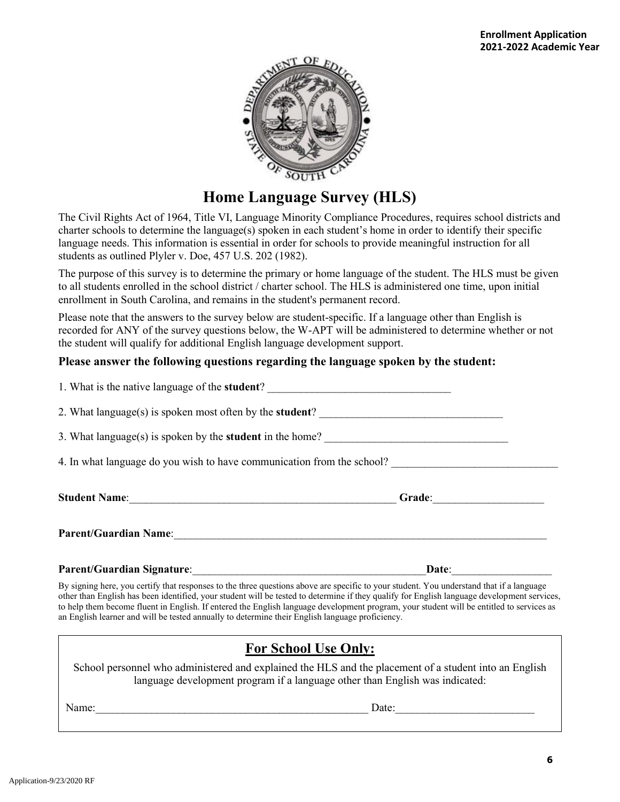

# **Home Language Survey (HLS)**

The Civil Rights Act of 1964, Title VI, Language Minority Compliance Procedures, requires school districts and charter schools to determine the language(s) spoken in each student's home in order to identify their specific language needs. This information is essential in order for schools to provide meaningful instruction for all students as outlined Plyler v. Doe, 457 U.S. 202 (1982).

The purpose of this survey is to determine the primary or home language of the student. The HLS must be given to all students enrolled in the school district / charter school. The HLS is administered one time, upon initial enrollment in South Carolina, and remains in the student's permanent record.

Please note that the answers to the survey below are student-specific. If a language other than English is recorded for ANY of the survey questions below, the W-APT will be administered to determine whether or not the student will qualify for additional English language development support.

## **Please answer the following questions regarding the language spoken by the student:**

| 1. What is the native language of the student?                         |                        |  |  |  |  |  |
|------------------------------------------------------------------------|------------------------|--|--|--|--|--|
| 2. What language(s) is spoken most often by the <b>student</b> ?       |                        |  |  |  |  |  |
| 3. What language(s) is spoken by the <b>student</b> in the home?       |                        |  |  |  |  |  |
| 4. In what language do you wish to have communication from the school? |                        |  |  |  |  |  |
|                                                                        | Grade: $\qquad \qquad$ |  |  |  |  |  |
| Parent/Guardian Name:                                                  |                        |  |  |  |  |  |
| <b>Parent/Guardian Signature:</b>                                      | Date:                  |  |  |  |  |  |

By signing here, you certify that responses to the three questions above are specific to your student. You understand that if a language other than English has been identified, your student will be tested to determine if they qualify for English language development services, to help them become fluent in English. If entered the English language development program, your student will be entitled to services as an English learner and will be tested annually to determine their English language proficiency.

# **For School Use Only:**

School personnel who administered and explained the HLS and the placement of a student into an English language development program if a language other than English was indicated:

Name: The contract of the contract of the contract of the contract of the contract of the contract of the contract of the contract of the contract of the contract of the contract of the contract of the contract of the cont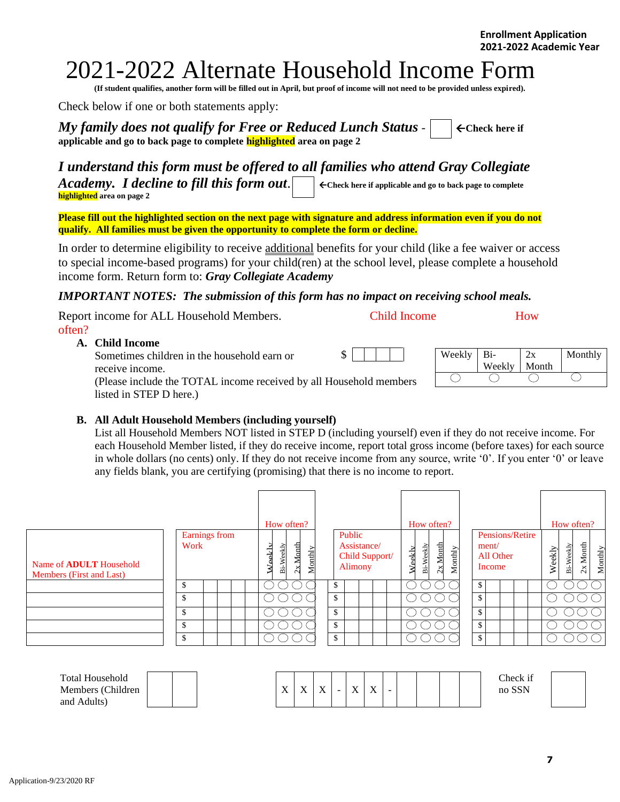# 2021-2022 Alternate Household Income Form

**(If student qualifies, another form will be filled out in April, but proof of income will not need to be provided unless expired).**

Check below if one or both statements apply:

*My family does not qualify for Free or Reduced Lunch Status*  $\vert \cdot \vert$   $\in$  Check here if **applicable and go to back page to complete highlighted area on page 2**

# *I understand this form must be offered to all families who attend Gray Collegiate*

*Academy. I decline to fill this form out.*  $\Box$   $\in$  Check here if applicable and go to back page to complete **highlighted area on page 2**

**Please fill out the highlighted section on the next page with signature and address information even if you do not qualify. All families must be given the opportunity to complete the form or decline.**

In order to determine eligibility to receive additional benefits for your child (like a fee waiver or access to special income-based programs) for your child(ren) at the school level, please complete a household income form. Return form to: *Gray Collegiate Academy*

### *IMPORTANT NOTES: The submission of this form has no impact on receiving school meals.*

| Report income for ALL Household Members.                           | Child Income |        |        | How   |         |
|--------------------------------------------------------------------|--------------|--------|--------|-------|---------|
| often?                                                             |              |        |        |       |         |
| A. Child Income                                                    |              |        |        |       |         |
| Sometimes children in the household earn or                        |              | Weekly | Bi-    | 2x    | Monthly |
| receive income.                                                    |              |        | Weekly | Month |         |
| (Please include the TOTAL income received by all Household members |              |        |        |       |         |
| listed in STEP D here.)                                            |              |        |        |       |         |

#### **B. All Adult Household Members (including yourself)**

List all Household Members NOT listed in STEP D (including yourself) even if they do not receive income. For each Household Member listed, if they do receive income, report total gross income (before taxes) for each source in whole dollars (no cents) only. If they do not receive income from any source, write '0'. If you enter '0' or leave any fields blank, you are certifying (promising) that there is no income to report.

|                                                            |                       | How often?                                     |         |                                  |                |        | How often?              |         |                              |                 |        | How often? |             |         |
|------------------------------------------------------------|-----------------------|------------------------------------------------|---------|----------------------------------|----------------|--------|-------------------------|---------|------------------------------|-----------------|--------|------------|-------------|---------|
| Name of <b>ADULT</b> Household<br>Members (First and Last) | Earnings from<br>Work | Month<br>eekly<br>님<br>∑∑.<br>W<br>B<br>$\sim$ | Monthly | Public<br>Assistance/<br>Alimony | Child Support/ | Weekly | $2x$ Month<br>Bi-Weekly | Monthly | ment/<br>All Other<br>Income | Pensions/Retire | Weekly | Bi-Weekly  | Month<br>2x | Monthly |
|                                                            | \$                    |                                                |         | \$                               |                |        |                         |         | \$                           |                 |        |            |             |         |
|                                                            | \$                    |                                                |         | \$                               |                |        |                         |         | \$                           |                 |        |            |             |         |
|                                                            | \$                    |                                                |         | \$                               |                |        |                         |         | \$                           |                 |        |            |             |         |
|                                                            | \$                    |                                                |         | \$                               |                |        |                         |         | \$                           |                 |        |            |             |         |
|                                                            | \$                    |                                                |         | \$                               |                |        |                         |         | \$                           |                 |        |            |             |         |
|                                                            |                       |                                                |         |                                  |                |        |                         |         |                              |                 |        |            |             |         |

| <b>Total Household</b><br>Members (Children<br>Adults<br>and | $\mathbf{v}$<br>$\lambda$ | $\mathbf{v}$<br>$\overline{\phantom{a}}$ | $\mathbf{v}$<br>$\overline{1}$ | $\sim$ | $\mathbf{v}$<br>$\Lambda$ | $\mathbf{v}$<br>$\overline{\phantom{a}}$ | $\sim$ |  |  |  |  | Check if<br>no |  |
|--------------------------------------------------------------|---------------------------|------------------------------------------|--------------------------------|--------|---------------------------|------------------------------------------|--------|--|--|--|--|----------------|--|
|--------------------------------------------------------------|---------------------------|------------------------------------------|--------------------------------|--------|---------------------------|------------------------------------------|--------|--|--|--|--|----------------|--|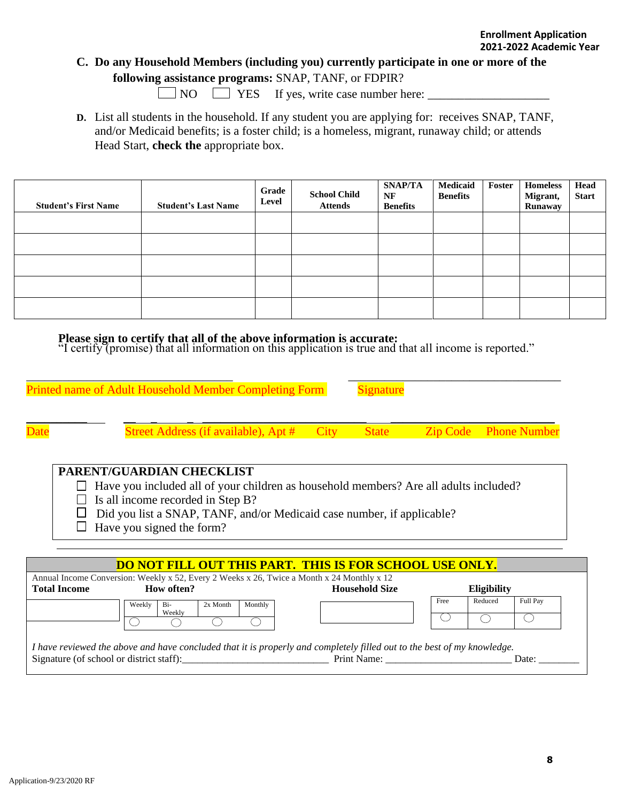# **C. Do any Household Members (including you) currently participate in one or more of the following assistance programs:** SNAP, TANF, or FDPIR?

 $\Box$  NO  $\Box$  YES If yes, write case number here:  $\Box$ 

**D.** List all students in the household. If any student you are applying for: receives SNAP, TANF, and/or Medicaid benefits; is a foster child; is a homeless, migrant, runaway child; or attends Head Start, **check the** appropriate box.

| <b>Student's First Name</b> | <b>Student's Last Name</b> | Grade<br>Level | <b>School Child</b><br><b>Attends</b> | SNAP/TA<br>NF<br><b>Benefits</b> | Medicaid<br><b>Benefits</b> | Foster | <b>Homeless</b><br>Migrant,<br>Runaway | Head<br><b>Start</b> |
|-----------------------------|----------------------------|----------------|---------------------------------------|----------------------------------|-----------------------------|--------|----------------------------------------|----------------------|
|                             |                            |                |                                       |                                  |                             |        |                                        |                      |
|                             |                            |                |                                       |                                  |                             |        |                                        |                      |
|                             |                            |                |                                       |                                  |                             |        |                                        |                      |
|                             |                            |                |                                       |                                  |                             |        |                                        |                      |
|                             |                            |                |                                       |                                  |                             |        |                                        |                      |

## **Please sign to certify that all of the above information is accurate:**

"I certify (promise) that all information on this application is true and that all income is reported."

|                                                                |                     | Printed name of Adult Household Member Completing Form                                                                                                                                                                                                         |             | Signature             |  |                              |  |  |
|----------------------------------------------------------------|---------------------|----------------------------------------------------------------------------------------------------------------------------------------------------------------------------------------------------------------------------------------------------------------|-------------|-----------------------|--|------------------------------|--|--|
|                                                                |                     | <b>Street Address (if available), Apt #</b>                                                                                                                                                                                                                    | <b>City</b> | <b>State</b>          |  | <b>Zip Code</b> Phone Number |  |  |
|                                                                |                     | PARENT/GUARDIAN CHECKLIST<br>Have you included all of your children as household members? Are all adults included?<br>Is all income recorded in Step B?<br>Did you list a SNAP, TANF, and/or Medicaid case number, if applicable?<br>Have you signed the form? |             |                       |  |                              |  |  |
| <b>DO NOT FILL OUT THIS PART. THIS IS FOR SCHOOL USE ONLY.</b> |                     |                                                                                                                                                                                                                                                                |             |                       |  |                              |  |  |
|                                                                | <b>Total Income</b> | Annual Income Conversion: Weekly x 52, Every 2 Weeks x 26, Twice a Month x 24 Monthly x 12<br>How often?                                                                                                                                                       |             | <b>Household Size</b> |  | <b>Eligibility</b>           |  |  |

|                                                                                                                         | Weekly | Bi-<br>Weekly | 2x Month | Monthly |             | Free | Reduced | Full Pay |
|-------------------------------------------------------------------------------------------------------------------------|--------|---------------|----------|---------|-------------|------|---------|----------|
|                                                                                                                         |        |               |          |         |             |      |         |          |
| I have reviewed the above and have concluded that it is properly and completely filled out to the best of my knowledge. |        |               |          |         |             |      |         |          |
| Signature (of school or district staff):                                                                                |        |               |          |         | Print Name: |      |         | Date:    |